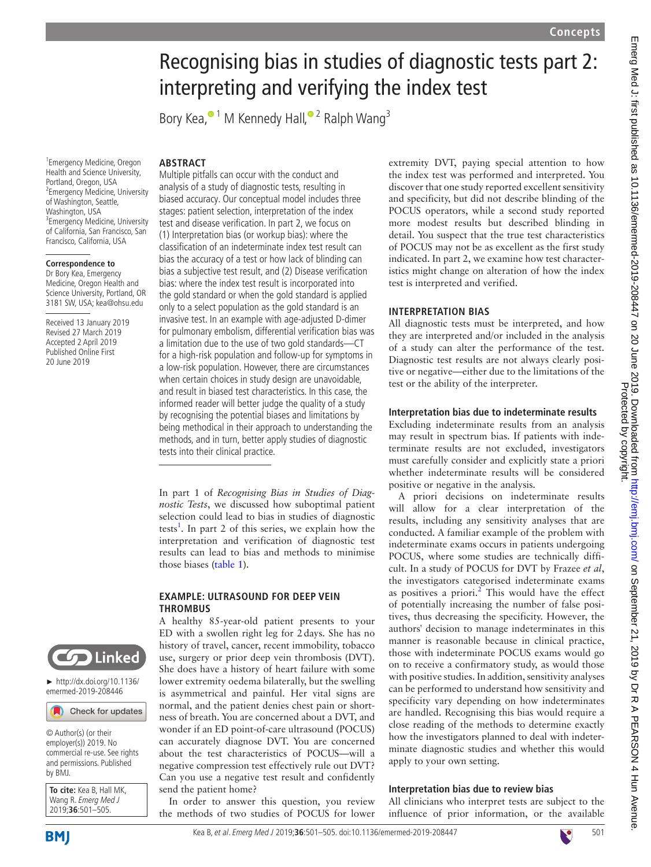# Recognising bias in studies of diagnostic tests part 2: interpreting and verifying the index test

Bory Kea[,](http://orcid.org/0000-0002-0803-1552)<sup>•1</sup> M Kennedy Hall,<sup>•2</sup> Ralph Wang<sup>3</sup>

## **ARSTRACT**

1 Emergency Medicine, Oregon Health and Science University, Portland, Oregon, USA 2 Emergency Medicine, University of Washington, Seattle, Washington, USA <sup>3</sup> Emergency Medicine, University of California, San Francisco, San Francisco, California, USA

#### **Correspondence to**

Dr Bory Kea, Emergency Medicine, Oregon Health and Science University, Portland, OR 3181 SW, USA; kea@ohsu.edu

Received 13 January 2019 Revised 27 March 2019 Accepted 2 April 2019 Published Online First 20 June 2019

Multiple pitfalls can occur with the conduct and analysis of a study of diagnostic tests, resulting in biased accuracy. Our conceptual model includes three stages: patient selection, interpretation of the index test and disease verification. In part 2, we focus on (1) Interpretation bias (or workup bias): where the classification of an indeterminate index test result can bias the accuracy of a test or how lack of blinding can bias a subjective test result, and (2) Disease verification bias: where the index test result is incorporated into the gold standard or when the gold standard is applied only to a select population as the gold standard is an invasive test. In an example with age-adjusted D-dimer for pulmonary embolism, differential verification bias was a limitation due to the use of two gold standards—CT for a high-risk population and follow-up for symptoms in a low-risk population. However, there are circumstances when certain choices in study design are unavoidable, and result in biased test characteristics. In this case, the informed reader will better judge the quality of a study by recognising the potential biases and limitations by being methodical in their approach to understanding the methods, and in turn, better apply studies of diagnostic tests into their clinical practice.

In part 1 of *Recognising Bias in Studies of Diagnostic Tests*, we discussed how suboptimal patient selection could lead to bias in studies of diagnostic tests<sup>[1](#page-3-0)</sup>. In part 2 of this series, we explain how the interpretation and verification of diagnostic test results can lead to bias and methods to minimise those biases [\(table](#page-1-0) 1).

#### **Example: ultrasound for deep vein thrombus**

A healthy 85-year-old patient presents to your ED with a swollen right leg for 2days. She has no history of travel, cancer, recent immobility, tobacco use, surgery or prior deep vein thrombosis (DVT). She does have a history of heart failure with some lower extremity oedema bilaterally, but the swelling is asymmetrical and painful. Her vital signs are normal, and the patient denies chest pain or shortness of breath. You are concerned about a DVT, and wonder if an ED point-of-care ultrasound (POCUS) can accurately diagnose DVT. You are concerned about the test characteristics of POCUS—will a negative compression test effectively rule out DVT? Can you use a negative test result and confidently send the patient home?

In order to answer this question, you review the methods of two studies of POCUS for lower extremity DVT, paying special attention to how the index test was performed and interpreted. You discover that one study reported excellent sensitivity and specificity, but did not describe blinding of the POCUS operators, while a second study reported more modest results but described blinding in detail. You suspect that the true test characteristics of POCUS may not be as excellent as the first study indicated. In part 2, we examine how test characteristics might change on alteration of how the index test is interpreted and verified.

## **Interpretation bias**

All diagnostic tests must be interpreted, and how they are interpreted and/or included in the analysis of a study can alter the performance of the test. Diagnostic test results are not always clearly positive or negative—either due to the limitations of the test or the ability of the interpreter.

## **Interpretation bias due to indeterminate results**

Excluding indeterminate results from an analysis may result in spectrum bias. If patients with indeterminate results are not excluded, investigators must carefully consider and explicitly state a priori whether indeterminate results will be considered positive or negative in the analysis.

A priori decisions on indeterminate results will allow for a clear interpretation of the results, including any sensitivity analyses that are conducted. A familiar example of the problem with indeterminate exams occurs in patients undergoing POCUS, where some studies are technically difficult. In a study of POCUS for DVT by Frazee *et al*, the investigators categorised indeterminate exams as positives a priori. $2^7$  This would have the effect of potentially increasing the number of false positives, thus decreasing the specificity. However, the authors' decision to manage indeterminates in this manner is reasonable because in clinical practice, those with indeterminate POCUS exams would go on to receive a confirmatory study, as would those with positive studies. In addition, sensitivity analyses can be performed to understand how sensitivity and specificity vary depending on how indeterminates are handled. Recognising this bias would require a close reading of the methods to determine exactly how the investigators planned to deal with indeterminate diagnostic studies and whether this would apply to your own setting.

## **Interpretation bias due to review bias**

All clinicians who interpret tests are subject to the influence of prior information, or the available



by BMJ.

**To cite:** Kea B, Hall MK, Wang R. Emerg Med J 2019;**36**:501–505.

© Author(s) (or their employer(s)) 2019. No commercial re-use. See rights and permissions. Published

► [http://dx.doi.org/10.1136/](http://dx.doi.org/10.1136/emermed-2019-208446) [emermed-2019-208446](http://dx.doi.org/10.1136/emermed-2019-208446)

Check for updates

**Solution Linked** 

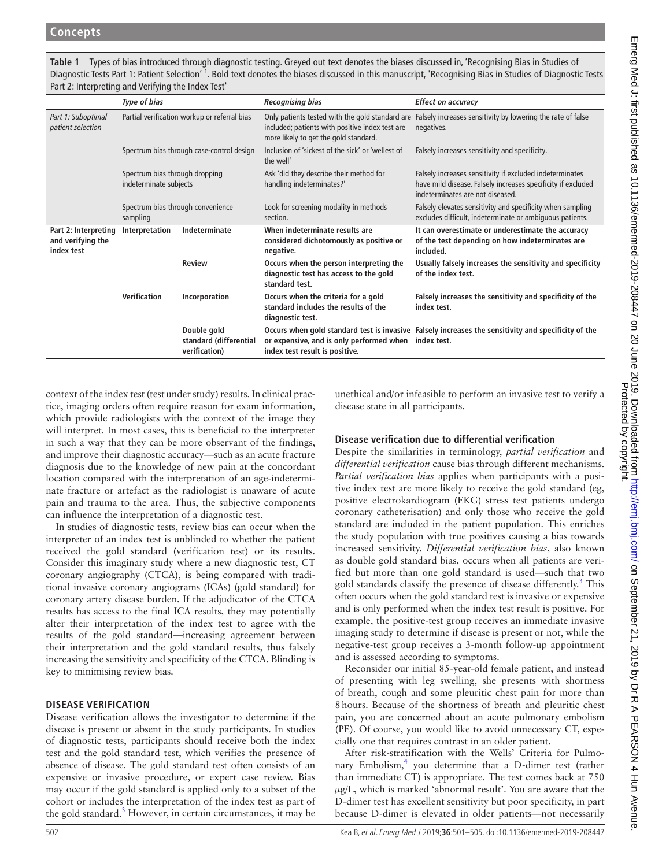<span id="page-1-0"></span>

|                                                   | Table 1 Types of bias introduced through diagnostic testing. Greyed out text denotes the biases discussed in, 'Recognising Bias in Studies of                          |  |  |  |  |
|---------------------------------------------------|------------------------------------------------------------------------------------------------------------------------------------------------------------------------|--|--|--|--|
|                                                   | Diagnostic Tests Part 1: Patient Selection' <sup>1</sup> . Bold text denotes the biases discussed in this manuscript, 'Recognising Bias in Studies of Diagnostic Tests |  |  |  |  |
| Part 2: Interpreting and Verifying the Index Test |                                                                                                                                                                        |  |  |  |  |

|                                                         | Type of bias                                             |                                                        | <b>Recognising bias</b>                                                                             | <b>Effect on accuracy</b>                                                                                                                                    |
|---------------------------------------------------------|----------------------------------------------------------|--------------------------------------------------------|-----------------------------------------------------------------------------------------------------|--------------------------------------------------------------------------------------------------------------------------------------------------------------|
| Part 1: Suboptimal<br>patient selection                 | Partial verification workup or referral bias             |                                                        | included; patients with positive index test are<br>more likely to get the gold standard.            | Only patients tested with the gold standard are Falsely increases sensitivity by lowering the rate of false<br>negatives.                                    |
|                                                         | Spectrum bias through case-control design                |                                                        | Inclusion of 'sickest of the sick' or 'wellest of<br>the well'                                      | Falsely increases sensitivity and specificity.                                                                                                               |
|                                                         | Spectrum bias through dropping<br>indeterminate subjects |                                                        | Ask 'did they describe their method for<br>handling indeterminates?'                                | Falsely increases sensitivity if excluded indeterminates<br>have mild disease. Falsely increases specificity if excluded<br>indeterminates are not diseased. |
|                                                         | Spectrum bias through convenience<br>sampling            |                                                        | Look for screening modality in methods<br>section.                                                  | Falsely elevates sensitivity and specificity when sampling<br>excludes difficult, indeterminate or ambiguous patients.                                       |
| Part 2: Interpreting<br>and verifying the<br>index test | Interpretation                                           | Indeterminate                                          | When indeterminate results are<br>considered dichotomously as positive or<br>negative.              | It can overestimate or underestimate the accuracy<br>of the test depending on how indeterminates are<br>included.                                            |
|                                                         |                                                          | <b>Review</b>                                          | Occurs when the person interpreting the<br>diagnostic test has access to the gold<br>standard test. | Usually falsely increases the sensitivity and specificity<br>of the index test.                                                                              |
|                                                         | <b>Verification</b>                                      | Incorporation                                          | Occurs when the criteria for a gold<br>standard includes the results of the<br>diagnostic test.     | Falsely increases the sensitivity and specificity of the<br>index test.                                                                                      |
|                                                         |                                                          | Double gold<br>standard (differential<br>verification) | or expensive, and is only performed when index test.<br>index test result is positive.              | Occurs when gold standard test is invasive Falsely increases the sensitivity and specificity of the                                                          |

context of the index test (test under study) results. In clinical practice, imaging orders often require reason for exam information, which provide radiologists with the context of the image they will interpret. In most cases, this is beneficial to the interpreter in such a way that they can be more observant of the findings, and improve their diagnostic accuracy—such as an acute fracture diagnosis due to the knowledge of new pain at the concordant location compared with the interpretation of an age-indeterminate fracture or artefact as the radiologist is unaware of acute pain and trauma to the area. Thus, the subjective components can influence the interpretation of a diagnostic test.

In studies of diagnostic tests, review bias can occur when the interpreter of an index test is unblinded to whether the patient received the gold standard (verification test) or its results. Consider this imaginary study where a new diagnostic test, CT coronary angiography (CTCA), is being compared with traditional invasive coronary angiograms (ICAs) (gold standard) for coronary artery disease burden. If the adjudicator of the CTCA results has access to the final ICA results, they may potentially alter their interpretation of the index test to agree with the results of the gold standard—increasing agreement between their interpretation and the gold standard results, thus falsely increasing the sensitivity and specificity of the CTCA. Blinding is key to minimising review bias.

## **Disease verification**

Disease verification allows the investigator to determine if the disease is present or absent in the study participants. In studies of diagnostic tests, participants should receive both the index test and the gold standard test, which verifies the presence of absence of disease. The gold standard test often consists of an expensive or invasive procedure, or expert case review. Bias may occur if the gold standard is applied only to a subset of the cohort or includes the interpretation of the index test as part of the gold standard.<sup>[3](#page-3-2)</sup> However, in certain circumstances, it may be unethical and/or infeasible to perform an invasive test to verify a disease state in all participants.

## **Disease verification due to differential verification**

Despite the similarities in terminology, *partial verification* and *differential verification* cause bias through different mechanisms. *Partial verification bias* applies when participants with a positive index test are more likely to receive the gold standard (eg, positive electrokardiogram (EKG) stress test patients undergo coronary catheterisation) and only those who receive the gold standard are included in the patient population. This enriches the study population with true positives causing a bias towards increased sensitivity. *Differential verification bias*, also known as double gold standard bias, occurs when all patients are verified but more than one gold standard is used—such that two gold standards classify the presence of disease differently.<sup>3</sup> This often occurs when the gold standard test is invasive or expensive and is only performed when the index test result is positive. For example, the positive-test group receives an immediate invasive imaging study to determine if disease is present or not, while the negative-test group receives a 3-month follow-up appointment and is assessed according to symptoms.

Reconsider our initial 85-year-old female patient, and instead of presenting with leg swelling, she presents with shortness of breath, cough and some pleuritic chest pain for more than 8hours. Because of the shortness of breath and pleuritic chest pain, you are concerned about an acute pulmonary embolism (PE). Of course, you would like to avoid unnecessary CT, especially one that requires contrast in an older patient.

After risk-stratification with the Wells' Criteria for Pulmo-nary Embolism,<sup>[4](#page-3-3)</sup> you determine that a D-dimer test (rather than immediate CT) is appropriate. The test comes back at 750  $\mu$ g/L, which is marked 'abnormal result'. You are aware that the D-dimer test has excellent sensitivity but poor specificity, in part because D-dimer is elevated in older patients—not necessarily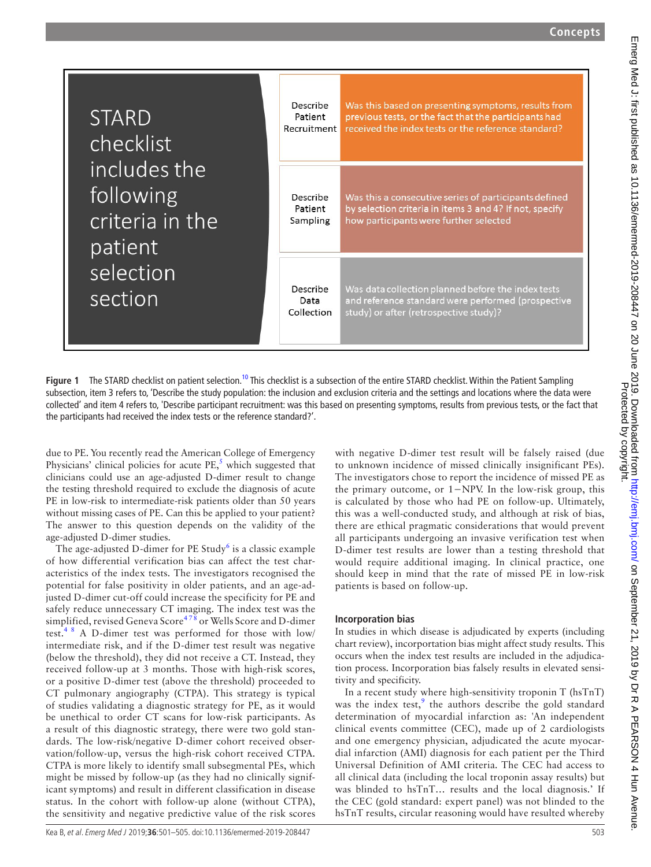

<span id="page-2-0"></span>Figure 1 The STARD checklist on patient selection.<sup>10</sup> This checklist is a subsection of the entire STARD checklist. Within the Patient Sampling subsection, item 3 refers to, 'Describe the study population: the inclusion and exclusion criteria and the settings and locations where the data were collected' and item 4 refers to, 'Describe participant recruitment: was this based on presenting symptoms, results from previous tests, or the fact that the participants had received the index tests or the reference standard?'.

due to PE. You recently read the American College of Emergency Physicians' clinical policies for acute  $PE$ , which suggested that clinicians could use an age-adjusted D-dimer result to change the testing threshold required to exclude the diagnosis of acute PE in low-risk to intermediate-risk patients older than 50 years without missing cases of PE. Can this be applied to your patient? The answer to this question depends on the validity of the age-adjusted D-dimer studies.

The age-adjusted D-dimer for PE Study<sup>[6](#page-3-5)</sup> is a classic example of how differential verification bias can affect the test characteristics of the index tests. The investigators recognised the potential for false positivity in older patients, and an age-adjusted D-dimer cut-off could increase the specificity for PE and safely reduce unnecessary CT imaging. The index test was the simplified, revised Geneva Score<sup>478</sup> or Wells Score and D-dimer test.<sup>[4 8](#page-3-3)</sup> A D-dimer test was performed for those with low/ intermediate risk, and if the D-dimer test result was negative (below the threshold), they did not receive a CT. Instead, they received follow-up at 3 months. Those with high-risk scores, or a positive D-dimer test (above the threshold) proceeded to CT pulmonary angiography (CTPA). This strategy is typical of studies validating a diagnostic strategy for PE, as it would be unethical to order CT scans for low-risk participants. As a result of this diagnostic strategy, there were two gold standards. The low-risk/negative D-dimer cohort received observation/follow-up, versus the high-risk cohort received CTPA. CTPA is more likely to identify small subsegmental PEs, which might be missed by follow-up (as they had no clinically significant symptoms) and result in different classification in disease status. In the cohort with follow-up alone (without CTPA), the sensitivity and negative predictive value of the risk scores

with negative D-dimer test result will be falsely raised (due to unknown incidence of missed clinically insignificant PEs). The investigators chose to report the incidence of missed PE as the primary outcome, or 1−NPV. In the low-risk group, this is calculated by those who had PE on follow-up. Ultimately, this was a well-conducted study, and although at risk of bias, there are ethical pragmatic considerations that would prevent all participants undergoing an invasive verification test when D-dimer test results are lower than a testing threshold that would require additional imaging. In clinical practice, one should keep in mind that the rate of missed PE in low-risk patients is based on follow-up.

## **Incorporation bias**

In studies in which disease is adjudicated by experts (including chart review), incorportation bias might affect study results. This occurs when the index test results are included in the adjudication process. Incorporation bias falsely results in elevated sensitivity and specificity.

In a recent study where high-sensitivity troponin T (hsTnT) was the index test, $9$  the authors describe the gold standard determination of myocardial infarction as: 'An independent clinical events committee (CEC), made up of 2 cardiologists and one emergency physician, adjudicated the acute myocardial infarction (AMI) diagnosis for each patient per the Third Universal Definition of AMI criteria. The CEC had access to all clinical data (including the local troponin assay results) but was blinded to hsTnT… results and the local diagnosis.' If the CEC (gold standard: expert panel) was not blinded to the hsTnT results, circular reasoning would have resulted whereby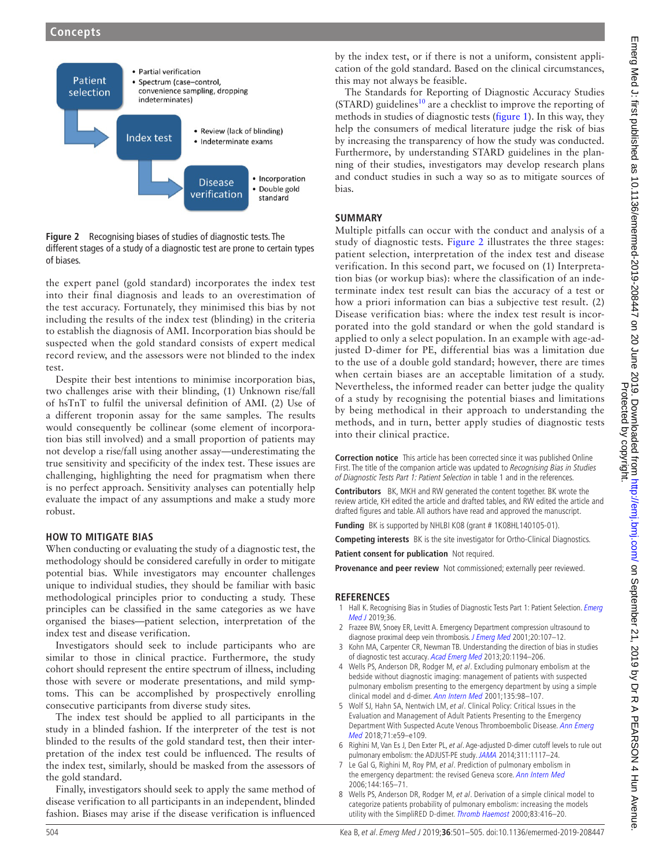## **Concepts**



<span id="page-3-6"></span>**Figure 2** Recognising biases of studies of diagnostic tests. The different stages of a study of a diagnostic test are prone to certain types of biases.

the expert panel (gold standard) incorporates the index test into their final diagnosis and leads to an overestimation of the test accuracy. Fortunately, they minimised this bias by not including the results of the index test (blinding) in the criteria to establish the diagnosis of AMI. Incorporation bias should be suspected when the gold standard consists of expert medical record review, and the assessors were not blinded to the index test.

Despite their best intentions to minimise incorporation bias, two challenges arise with their blinding, (1) Unknown rise/fall of hsTnT to fulfil the universal definition of AMI. (2) Use of a different troponin assay for the same samples. The results would consequently be collinear (some element of incorporation bias still involved) and a small proportion of patients may not develop a rise/fall using another assay—underestimating the true sensitivity and specificity of the index test. These issues are challenging, highlighting the need for pragmatism when there is no perfect approach. Sensitivity analyses can potentially help evaluate the impact of any assumptions and make a study more robust.

## **How to mitigate bias**

When conducting or evaluating the study of a diagnostic test, the methodology should be considered carefully in order to mitigate potential bias. While investigators may encounter challenges unique to individual studies, they should be familiar with basic methodological principles prior to conducting a study. These principles can be classified in the same categories as we have organised the biases—patient selection, interpretation of the index test and disease verification.

Investigators should seek to include participants who are similar to those in clinical practice. Furthermore, the study cohort should represent the entire spectrum of illness, including those with severe or moderate presentations, and mild symptoms. This can be accomplished by prospectively enrolling consecutive participants from diverse study sites.

The index test should be applied to all participants in the study in a blinded fashion. If the interpreter of the test is not blinded to the results of the gold standard test, then their interpretation of the index test could be influenced. The results of the index test, similarly, should be masked from the assessors of the gold standard.

Finally, investigators should seek to apply the same method of disease verification to all participants in an independent, blinded fashion. Biases may arise if the disease verification is influenced

by the index test, or if there is not a uniform, consistent application of the gold standard. Based on the clinical circumstances, this may not always be feasible.

The Standards for Reporting of Diagnostic Accuracy Studies (STARD) guidelines<sup>[10](#page-4-0)</sup> are a checklist to improve the reporting of methods in studies of diagnostic tests ([figure](#page-2-0) 1). In this way, they help the consumers of medical literature judge the risk of bias by increasing the transparency of how the study was conducted. Furthermore, by understanding STARD guidelines in the planning of their studies, investigators may develop research plans and conduct studies in such a way so as to mitigate sources of bias.

## **Summary**

Multiple pitfalls can occur with the conduct and analysis of a study of diagnostic tests. [Figure](#page-3-6) 2 illustrates the three stages: patient selection, interpretation of the index test and disease verification. In this second part, we focused on (1) Interpretation bias (or workup bias): where the classification of an indeterminate index test result can bias the accuracy of a test or how a priori information can bias a subjective test result. (2) Disease verification bias: where the index test result is incorporated into the gold standard or when the gold standard is applied to only a select population. In an example with age-adjusted D-dimer for PE, differential bias was a limitation due to the use of a double gold standard; however, there are times when certain biases are an acceptable limitation of a study. Nevertheless, the informed reader can better judge the quality of a study by recognising the potential biases and limitations by being methodical in their approach to understanding the methods, and in turn, better apply studies of diagnostic tests into their clinical practice.

**Correction notice** This article has been corrected since it was published Online First. The title of the companion article was updated to Recognising Bias in Studies of Diagnostic Tests Part 1: Patient Selection in table 1 and in the references.

**Contributors** BK, MKH and RW generated the content together. BK wrote the review article, KH edited the article and drafted tables, and RW edited the article and drafted figures and table. All authors have read and approved the manuscript.

**Funding** BK is supported by NHLBI K08 (grant # 1K08HL140105-01).

**Competing interests** BK is the site investigator for Ortho-Clinical Diagnostics. **Patient consent for publication** Not required.

**Provenance and peer review** Not commissioned; externally peer reviewed.

#### **References**

- <span id="page-3-0"></span>1 Hall K. Recognising Bias in Studies of Diagnostic Tests Part 1: Patient Selection. Emerg [Med J](http://dx.doi.org/10.1136/emermed-2019-208446) 2019;36.
- <span id="page-3-1"></span>2 Frazee BW, Snoey ER, Levitt A. Emergency Department compression ultrasound to diagnose proximal deep vein thrombosis. [J Emerg Med](http://dx.doi.org/10.1016/S0736-4679(00)00302-4) 2001;20:107-12.
- <span id="page-3-2"></span>Kohn MA, Carpenter CR, Newman TB. Understanding the direction of bias in studies of diagnostic test accuracy. [Acad Emerg Med](http://dx.doi.org/10.1111/acem.12255) 2013;20:1194–206.
- <span id="page-3-3"></span>4 Wells PS, Anderson DR, Rodger M, et al. Excluding pulmonary embolism at the bedside without diagnostic imaging: management of patients with suspected pulmonary embolism presenting to the emergency department by using a simple clinical model and d-dimer. [Ann Intern Med](http://dx.doi.org/10.7326/0003-4819-135-2-200107170-00010) 2001;135:98–107.
- <span id="page-3-4"></span>5 Wolf SJ, Hahn SA, Nentwich LM, et al. Clinical Policy: Critical Issues in the Evaluation and Management of Adult Patients Presenting to the Emergency Department With Suspected Acute Venous Thromboembolic Disease. [Ann Emerg](http://dx.doi.org/10.1016/j.annemergmed.2018.03.006)  [Med](http://dx.doi.org/10.1016/j.annemergmed.2018.03.006) 2018;71:e59–e109.
- <span id="page-3-5"></span>6 Righini M, Van Es J, Den Exter PL, et al. Age-adjusted D-dimer cutoff levels to rule out pulmonary embolism: the ADJUST-PE study. [JAMA](http://dx.doi.org/10.1001/jama.2014.2135) 2014;311:1117–24.
- 7 Le Gal G, Righini M, Roy PM, et al. Prediction of pulmonary embolism in the emergency department: the revised Geneva score. [Ann Intern Med](http://dx.doi.org/10.7326/0003-4819-144-3-200602070-00004) 2006;144:165–71.
- 8 Wells PS, Anderson DR, Rodger M, et al. Derivation of a simple clinical model to categorize patients probability of pulmonary embolism: increasing the models utility with the SimpliRED D-dimer. [Thromb Haemost](http://www.ncbi.nlm.nih.gov/pubmed/10744147) 2000;83:416–20.